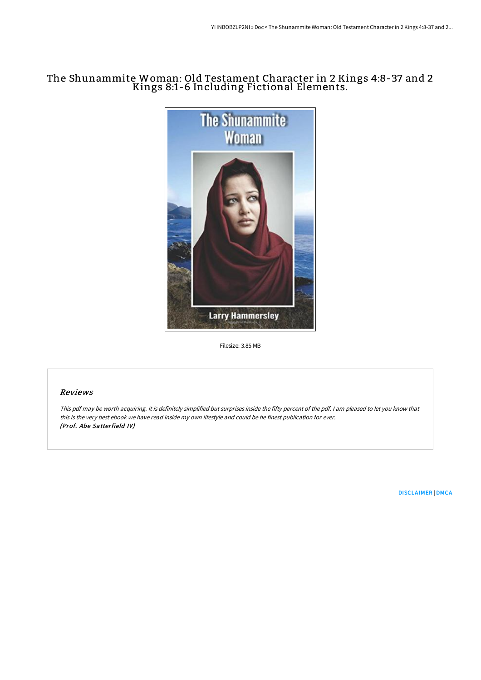## The Shunammite Woman: Old Testament Character in 2 Kings 4:8-37 and 2 Kings 8:1-6 Including Fictional Elements.



Filesize: 3.85 MB

## Reviews

This pdf may be worth acquiring. It is definitely simplified but surprises inside the fifty percent of the pdf. <sup>I</sup> am pleased to let you know that this is the very best ebook we have read inside my own lifestyle and could be he finest publication for ever. (Prof. Abe Satterfield IV)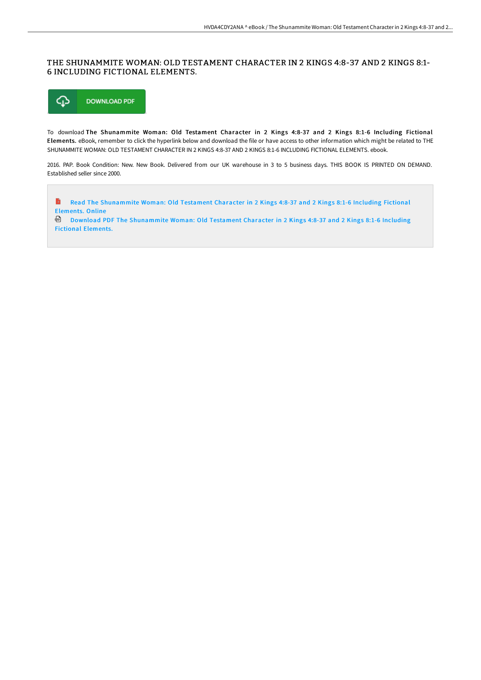## THE SHUNAMMITE WOMAN: OLD TESTAMENT CHARACTER IN 2 KINGS 4:8-37 AND 2 KINGS 8:1- 6 INCLUDING FICTIONAL ELEMENTS.



To download The Shunammite Woman: Old Testament Character in 2 Kings 4:8-37 and 2 Kings 8:1-6 Including Fictional Elements. eBook, remember to click the hyperlink below and download the file or have access to other information which might be related to THE SHUNAMMITE WOMAN: OLD TESTAMENT CHARACTER IN 2 KINGS 4:8-37 AND 2 KINGS 8:1-6 INCLUDING FICTIONAL ELEMENTS. ebook.

2016. PAP. Book Condition: New. New Book. Delivered from our UK warehouse in 3 to 5 business days. THIS BOOK IS PRINTED ON DEMAND. Established seller since 2000.